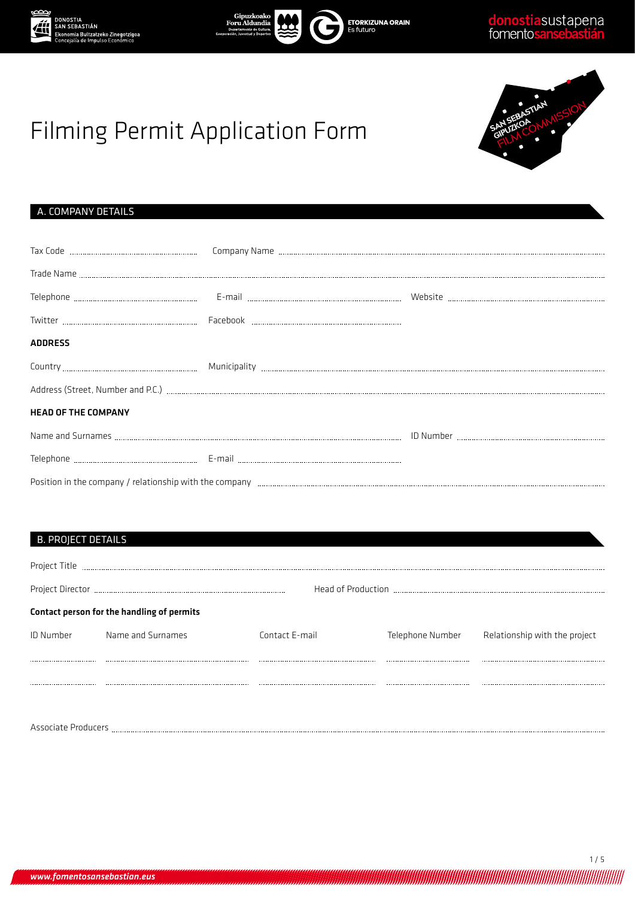







# Filming Permit Application Form

# A. COMPANY DETAILS

| <b>ADDRESS</b>             |  |  |
|----------------------------|--|--|
|                            |  |  |
|                            |  |  |
| <b>HEAD OF THE COMPANY</b> |  |  |
|                            |  |  |
|                            |  |  |
|                            |  |  |

## B. PROJECT DETAILS

| Project Title       |                                            |                |                  |                               |
|---------------------|--------------------------------------------|----------------|------------------|-------------------------------|
|                     |                                            |                |                  |                               |
|                     | Contact person for the handling of permits |                |                  |                               |
| <b>ID Number</b>    | Name and Surnames                          | Contact E-mail | Telephone Number | Relationship with the project |
|                     |                                            |                |                  |                               |
|                     |                                            |                |                  |                               |
|                     |                                            |                |                  |                               |
| Associate Producers |                                            |                |                  |                               |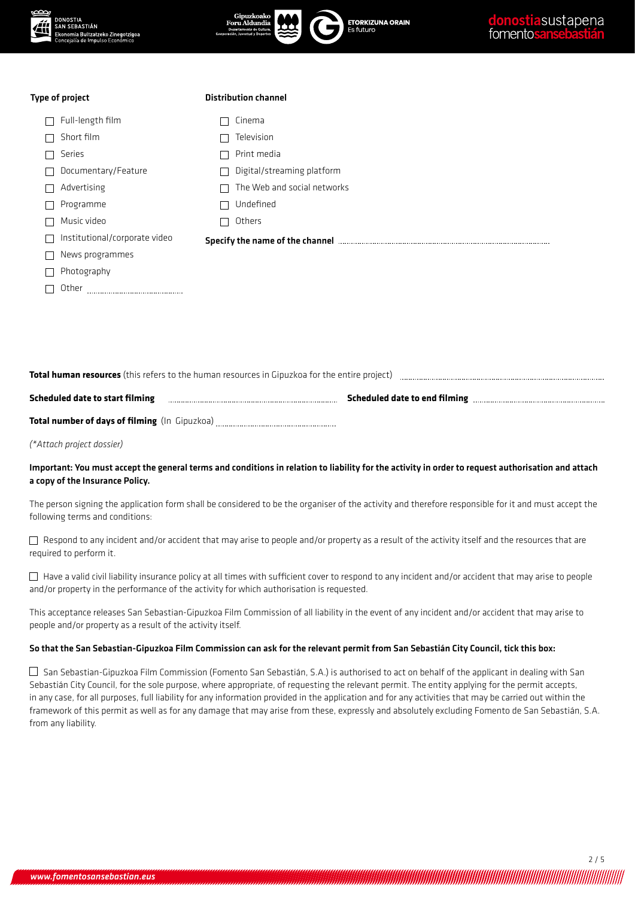| ∞∞ | <b>DONOSTIA</b><br><b>SAN SEBASTIÁN</b><br>Ekonomia Bultzatzeko Zinegotzigoa<br>Concejalía de Impulso Económico | Gipuzkoako<br><b>ETORKIZUNA ORAIN</b><br>Foru Aldundia<br>Es futuro<br>Departamento de Cultura<br>Cooperación, Juventud y Deportes | donostiasustapena<br>fomentosansebastián |
|----|-----------------------------------------------------------------------------------------------------------------|------------------------------------------------------------------------------------------------------------------------------------|------------------------------------------|
|    | Type of project                                                                                                 | <b>Distribution channel</b>                                                                                                        |                                          |
|    | Full-length film                                                                                                | Cinema                                                                                                                             |                                          |
|    | Short film                                                                                                      | Television                                                                                                                         |                                          |
|    | Series                                                                                                          | Print media                                                                                                                        |                                          |
|    | Documentary/Feature                                                                                             | Digital/streaming platform                                                                                                         |                                          |
|    | Advertising                                                                                                     | The Web and social networks                                                                                                        |                                          |
|    | Programme                                                                                                       | Undefined                                                                                                                          |                                          |
|    | Music video                                                                                                     | Others                                                                                                                             |                                          |
|    | Institutional/corporate video                                                                                   | Specify the name of the channel manufactured and the state of the channel of the channel manufactured and solve                    |                                          |
|    | News programmes                                                                                                 |                                                                                                                                    |                                          |
|    | Photography                                                                                                     |                                                                                                                                    |                                          |
|    | Other                                                                                                           |                                                                                                                                    |                                          |
|    |                                                                                                                 |                                                                                                                                    |                                          |

**Total human resources** (this refers to the human resources in Gipuzkoa for the entire project)

| Scheduled date to start filming | Scheduled date to end filming |  |
|---------------------------------|-------------------------------|--|
|                                 |                               |  |

**Total number of days of filming** (In Gipuzkoa)

*(\*Attach project dossier)*

### Important: You must accept the general terms and conditions in relation to liability for the activity in order to request authorisation and attach a copy of the Insurance Policy.

The person signing the application form shall be considered to be the organiser of the activity and therefore responsible for it and must accept the following terms and conditions:

 $\Box$  Respond to any incident and/or accident that may arise to people and/or property as a result of the activity itself and the resources that are required to perform it.

 $\Box$  Have a valid civil liability insurance policy at all times with sufficient cover to respond to any incident and/or accident that may arise to people and/or property in the performance of the activity for which authorisation is requested.

This acceptance releases San Sebastian-Gipuzkoa Film Commission of all liability in the event of any incident and/or accident that may arise to people and/or property as a result of the activity itself.

#### So that the San Sebastian-Gipuzkoa Film Commission can ask for the relevant permit from San Sebastián City Council, tick this box:

 $\Box$  San Sebastian-Gipuzkoa Film Commission (Fomento San Sebastián, S.A.) is authorised to act on behalf of the applicant in dealing with San Sebastián City Council, for the sole purpose, where appropriate, of requesting the relevant permit. The entity applying for the permit accepts, in any case, for all purposes, full liability for any information provided in the application and for any activities that may be carried out within the framework of this permit as well as for any damage that may arise from these, expressly and absolutely excluding Fomento de San Sebastián, S.A. from any liability.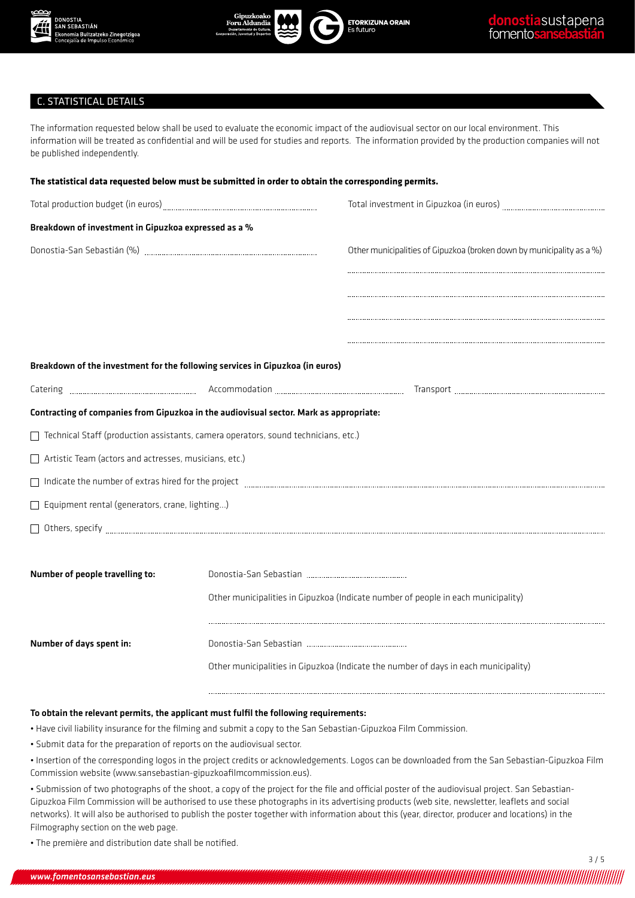





## C. STATISTICAL DETAILS

The information requested below shall be used to evaluate the economic impact of the audiovisual sector on our local environment. This information will be treated as confidential and will be used for studies and reports. The information provided by the production companies will not be published independently.

| The statistical data requested below must be submitted in order to obtain the corresponding permits.                                                                                                       |  |                                                                                                                                                                                                                                                                                                                                                                      |  |
|------------------------------------------------------------------------------------------------------------------------------------------------------------------------------------------------------------|--|----------------------------------------------------------------------------------------------------------------------------------------------------------------------------------------------------------------------------------------------------------------------------------------------------------------------------------------------------------------------|--|
|                                                                                                                                                                                                            |  | Total investment in Gipuzkoa (in euros) manuscrittum manuscrittum                                                                                                                                                                                                                                                                                                    |  |
| Breakdown of investment in Gipuzkoa expressed as a %                                                                                                                                                       |  |                                                                                                                                                                                                                                                                                                                                                                      |  |
|                                                                                                                                                                                                            |  | Other municipalities of Gipuzkoa (broken down by municipality as a %)                                                                                                                                                                                                                                                                                                |  |
|                                                                                                                                                                                                            |  |                                                                                                                                                                                                                                                                                                                                                                      |  |
|                                                                                                                                                                                                            |  |                                                                                                                                                                                                                                                                                                                                                                      |  |
|                                                                                                                                                                                                            |  |                                                                                                                                                                                                                                                                                                                                                                      |  |
|                                                                                                                                                                                                            |  |                                                                                                                                                                                                                                                                                                                                                                      |  |
| Breakdown of the investment for the following services in Gipuzkoa (in euros)                                                                                                                              |  |                                                                                                                                                                                                                                                                                                                                                                      |  |
|                                                                                                                                                                                                            |  |                                                                                                                                                                                                                                                                                                                                                                      |  |
| Contracting of companies from Gipuzkoa in the audiovisual sector. Mark as appropriate:                                                                                                                     |  |                                                                                                                                                                                                                                                                                                                                                                      |  |
| Technical Staff (production assistants, camera operators, sound technicians, etc.)                                                                                                                         |  |                                                                                                                                                                                                                                                                                                                                                                      |  |
| Artistic Team (actors and actresses, musicians, etc.)                                                                                                                                                      |  |                                                                                                                                                                                                                                                                                                                                                                      |  |
|                                                                                                                                                                                                            |  | Indicate the number of extras hired for the project [11] Indicate the number of extras hired for the project [11] Indicate the number of extras hired for the project [11] Indicate the number of extrast hired for the projec                                                                                                                                       |  |
| Equipment rental (generators, crane, lighting)                                                                                                                                                             |  |                                                                                                                                                                                                                                                                                                                                                                      |  |
|                                                                                                                                                                                                            |  | $\fbox{\parbox{1.5in}{ \begin{tabular}{c} \hline \rule{0.2cm}{0.4cm} \rule{0.2cm}{0.4cm} \rule{0.2cm}{0.4cm} \rule{0.2cm}{0.4cm} \rule{0.2cm}{0.4cm} \rule{0.2cm}{0.4cm} \rule{0.2cm}{0.4cm} \rule{0.2cm}{0.4cm} \rule{0.2cm}{0.4cm} \rule{0.2cm}{0.4cm} \rule{0.2cm}{0.4cm} \rule{0.2cm}{0.4cm} \rule{0.2cm}{0.4cm} \rule{0.2cm}{0.4cm} \rule{0.2cm}{0.4cm} \rule{$ |  |
|                                                                                                                                                                                                            |  |                                                                                                                                                                                                                                                                                                                                                                      |  |
| Number of people travelling to:                                                                                                                                                                            |  |                                                                                                                                                                                                                                                                                                                                                                      |  |
|                                                                                                                                                                                                            |  | Other municipalities in Gipuzkoa (Indicate number of people in each municipality)                                                                                                                                                                                                                                                                                    |  |
| Number of days spent in:                                                                                                                                                                                   |  |                                                                                                                                                                                                                                                                                                                                                                      |  |
|                                                                                                                                                                                                            |  | Other municipalities in Gipuzkoa (Indicate the number of days in each municipality)                                                                                                                                                                                                                                                                                  |  |
|                                                                                                                                                                                                            |  |                                                                                                                                                                                                                                                                                                                                                                      |  |
| To obtain the relevant permits, the applicant must fulfil the following requirements:<br>. Have civil liability insurance for the filming and submit a copy to the San Sebastian-Gipuzkoa Film Commission. |  |                                                                                                                                                                                                                                                                                                                                                                      |  |
| · Submit data for the preparation of reports on the audiovisual sector.                                                                                                                                    |  |                                                                                                                                                                                                                                                                                                                                                                      |  |

• Insertion of the corresponding logos in the project credits or acknowledgements. Logos can be downloaded from the San Sebastian-Gipuzkoa Film Commission website (www.sansebastian-gipuzkoafilmcommission.eus).

• Submission of two photographs of the shoot, a copy of the project for the file and official poster of the audiovisual project. San Sebastian-Gipuzkoa Film Commission will be authorised to use these photographs in its advertising products (web site, newsletter, leaflets and social networks). It will also be authorised to publish the poster together with information about this (year, director, producer and locations) in the Filmography section on the web page.

• The première and distribution date shall be notified.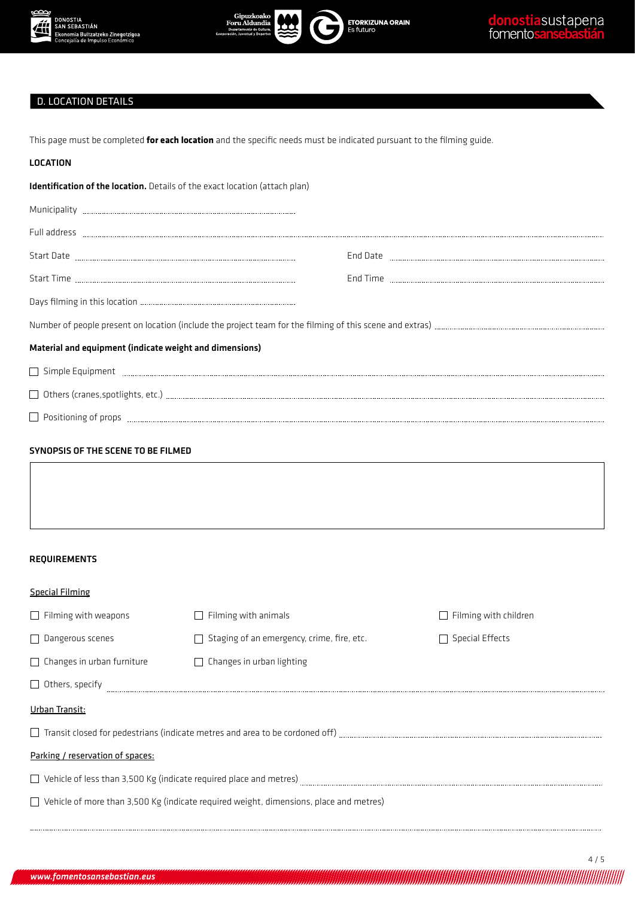



**ETORKIZUNA ORAIN**<br>Es futuro

# D. LOCATION DETAILS

This page must be completed **for each location** and the specific needs must be indicated pursuant to the filming guide.

| <b>LOCATION</b>                                                             |                                                                                               |                                                                                                                                                                                                                                                                                                                                                                                                                                                                                                    |
|-----------------------------------------------------------------------------|-----------------------------------------------------------------------------------------------|----------------------------------------------------------------------------------------------------------------------------------------------------------------------------------------------------------------------------------------------------------------------------------------------------------------------------------------------------------------------------------------------------------------------------------------------------------------------------------------------------|
| Identification of the location. Details of the exact location (attach plan) |                                                                                               |                                                                                                                                                                                                                                                                                                                                                                                                                                                                                                    |
|                                                                             |                                                                                               |                                                                                                                                                                                                                                                                                                                                                                                                                                                                                                    |
|                                                                             |                                                                                               |                                                                                                                                                                                                                                                                                                                                                                                                                                                                                                    |
|                                                                             |                                                                                               |                                                                                                                                                                                                                                                                                                                                                                                                                                                                                                    |
|                                                                             |                                                                                               |                                                                                                                                                                                                                                                                                                                                                                                                                                                                                                    |
|                                                                             |                                                                                               |                                                                                                                                                                                                                                                                                                                                                                                                                                                                                                    |
|                                                                             |                                                                                               |                                                                                                                                                                                                                                                                                                                                                                                                                                                                                                    |
| Material and equipment (indicate weight and dimensions)                     |                                                                                               |                                                                                                                                                                                                                                                                                                                                                                                                                                                                                                    |
|                                                                             |                                                                                               | Simple Equipment <b>with the community of the construction of the constant of the constant of the constant of the construction of the construction of the construction of the construction of the construction of the constructi</b>                                                                                                                                                                                                                                                               |
|                                                                             |                                                                                               | $\hfill\text{\textcolor{blue}{\textbf{O}}:} \begin{bmatrix} \text{others (cranes, spot lights, etc.)} \end{bmatrix} \hfill\text{\textcolor{blue}{\textbf{m}m}m} \hfill\text{\textcolor{blue}{\textbf{m}m}m} \hfill\text{\textcolor{blue}{\textbf{m}m}m} \hfill\text{\textcolor{blue}{\textbf{m}m}m} \hfill\text{\textcolor{blue}{\textbf{m}m}m} \hfill\text{\textcolor{blue}{\textbf{m}m}m} \hfill\text{\textcolor{blue}{\textbf{m}m}m} \hfill\text{\textcolor{blue}{\textbf{m}m}m} \hfill\text{\$ |
|                                                                             |                                                                                               |                                                                                                                                                                                                                                                                                                                                                                                                                                                                                                    |
| <b>REQUIREMENTS</b>                                                         |                                                                                               |                                                                                                                                                                                                                                                                                                                                                                                                                                                                                                    |
| <b>Special Filming</b>                                                      |                                                                                               |                                                                                                                                                                                                                                                                                                                                                                                                                                                                                                    |
| $\Box$ Filming with weapons                                                 | $\Box$ Filming with animals                                                                   | $\Box$ Filming with children                                                                                                                                                                                                                                                                                                                                                                                                                                                                       |
| $\Box$ Dangerous scenes                                                     | $\Box$ Staging of an emergency, crime, fire, etc.                                             | $\Box$ Special Effects                                                                                                                                                                                                                                                                                                                                                                                                                                                                             |
| $\Box$ Changes in urban furniture                                           | $\Box$ Changes in urban lighting                                                              |                                                                                                                                                                                                                                                                                                                                                                                                                                                                                                    |
| $\Box$ Others, specify                                                      |                                                                                               |                                                                                                                                                                                                                                                                                                                                                                                                                                                                                                    |
| Urban Transit:                                                              |                                                                                               |                                                                                                                                                                                                                                                                                                                                                                                                                                                                                                    |
|                                                                             |                                                                                               |                                                                                                                                                                                                                                                                                                                                                                                                                                                                                                    |
| Parking / reservation of spaces:                                            |                                                                                               |                                                                                                                                                                                                                                                                                                                                                                                                                                                                                                    |
|                                                                             |                                                                                               |                                                                                                                                                                                                                                                                                                                                                                                                                                                                                                    |
|                                                                             | $\Box$ Vehicle of more than 3,500 Kg (indicate required weight, dimensions, place and metres) |                                                                                                                                                                                                                                                                                                                                                                                                                                                                                                    |